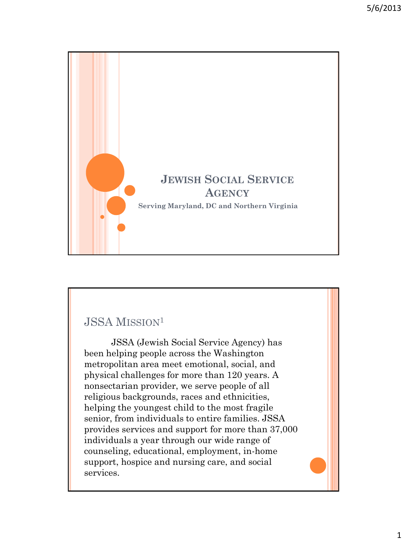

## JSSA MISSION<sup>1</sup>

JSSA (Jewish Social Service Agency) has been helping people across the Washington metropolitan area meet emotional, social, and physical challenges for more than 120 years. A nonsectarian provider, we serve people of all religious backgrounds, races and ethnicities, helping the youngest child to the most fragile senior, from individuals to entire families. JSSA provides services and support for more than 37,000 individuals a year through our wide range of counseling, educational, employment, in-home support, hospice and nursing care, and social services.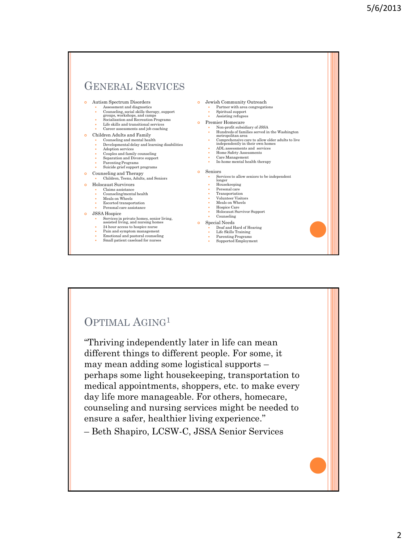

#### OPTIMAL AGING<sup>1</sup>

"Thriving independently later in life can mean different things to different people. For some, it may mean adding some logistical supports – perhaps some light housekeeping, transportation to medical appointments, shoppers, etc. to make every day life more manageable. For others, homecare, counseling and nursing services might be needed to ensure a safer, healthier living experience."

– Beth Shapiro, LCSW-C, JSSA Senior Services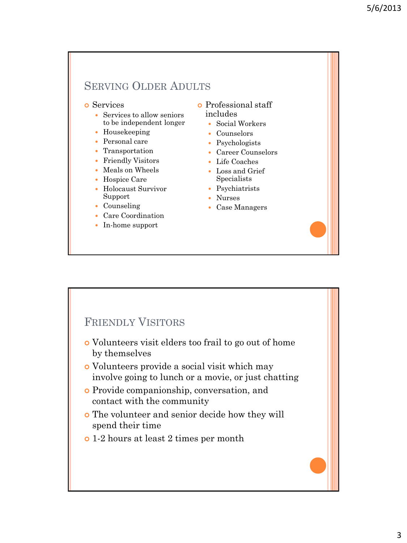#### SERVING OLDER ADULTS

- **o** Services
	- Services to allow seniors to be independent longer
	- Housekeeping
	- Personal care
	- Transportation
	- Friendly Visitors
	- Meals on Wheels
	- Hospice Care
	- Holocaust Survivor Support
	- Counseling
	- Care Coordination
	- In-home support
- Professional staff includes
	- Social Workers
	- Counselors
	- Psychologists
	- Career Counselors
	- Life Coaches
	- Loss and Grief Specialists
	- Psychiatrists
	- Nurses
	- Case Managers

### FRIENDLY VISITORS

- Volunteers visit elders too frail to go out of home by themselves
- Volunteers provide a social visit which may involve going to lunch or a movie, or just chatting
- Provide companionship, conversation, and contact with the community
- The volunteer and senior decide how they will spend their time
- 1-2 hours at least 2 times per month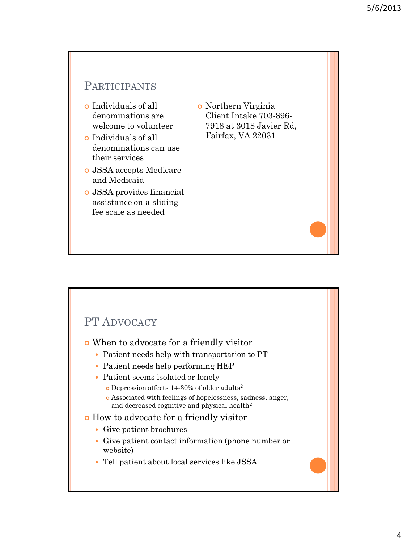## PARTICIPANTS

- Individuals of all denominations are welcome to volunteer
- Individuals of all denominations can use their services
- JSSA accepts Medicare and Medicaid
- JSSA provides financial assistance on a sliding fee scale as needed
- Northern Virginia Client Intake 703-896- 7918 at 3018 Javier Rd, Fairfax, VA 22031

## PT ADVOCACY

- When to advocate for a friendly visitor
	- Patient needs help with transportation to PT
	- Patient needs help performing HEP
	- Patient seems isolated or lonely
		- Depression affects 14-30% of older adults<sup>2</sup>
		- Associated with feelings of hopelessness, sadness, anger, and decreased cognitive and physical health<sup>2</sup>
- How to advocate for a friendly visitor
	- Give patient brochures
	- Give patient contact information (phone number or website)
	- Tell patient about local services like JSSA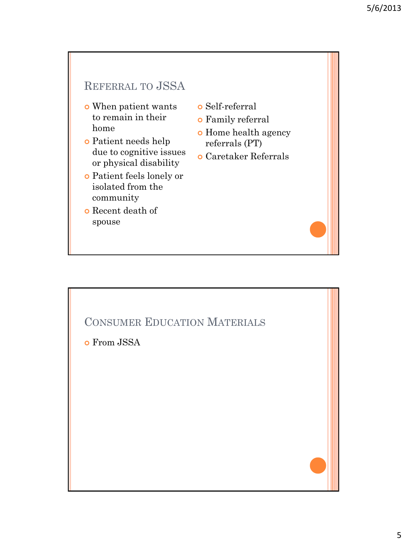# REFERRAL TO JSSA

- When patient wants to remain in their home
- Patient needs help due to cognitive issues or physical disability
- Patient feels lonely or isolated from the community
- Recent death of spouse
- Self-referral
- Family referral
- **o** Home health agency referrals (PT)
- Caretaker Referrals

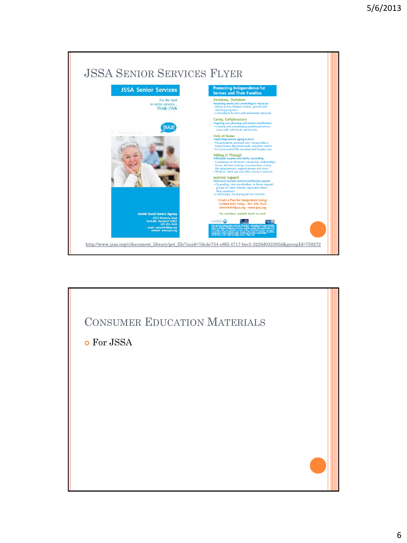

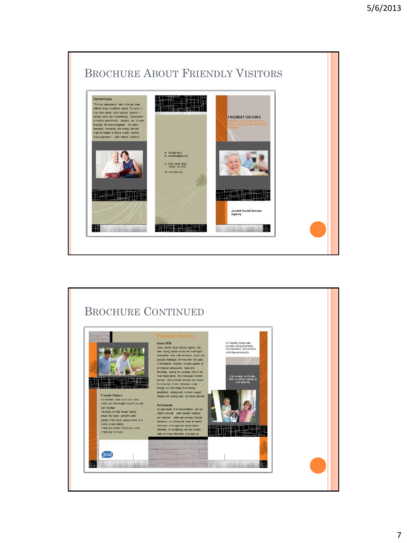

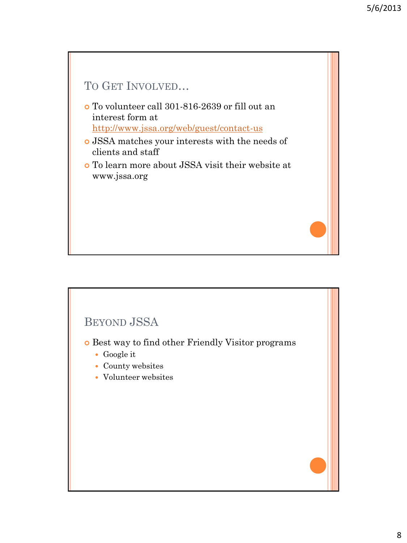



- Best way to find other Friendly Visitor programs
	- Google it
	- County websites
	- Volunteer websites